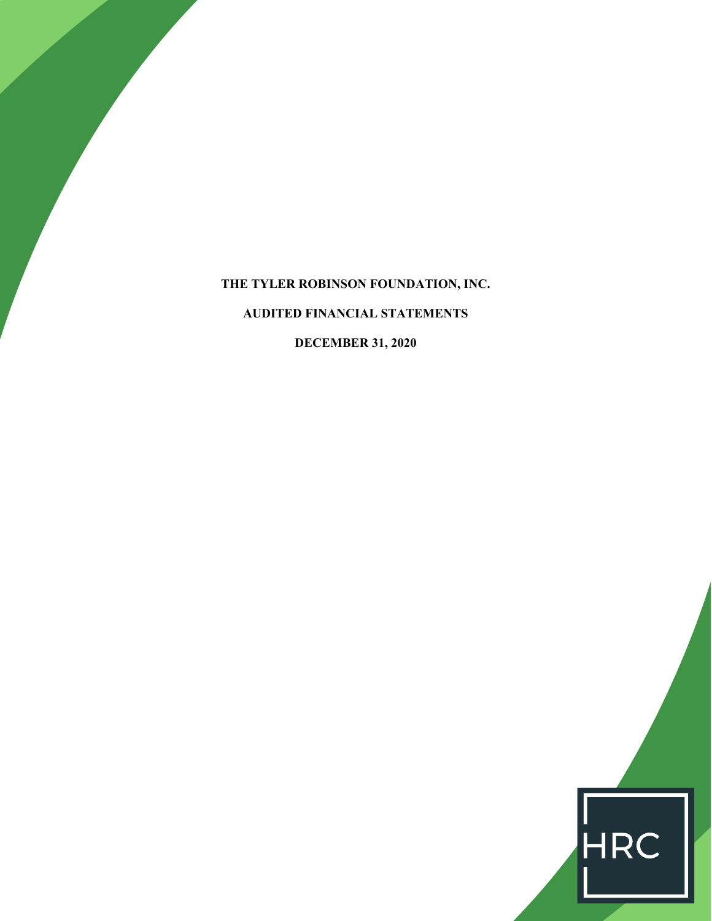**THE TYLER ROBINSON FOUNDATION, INC. AUDITED FINANCIAL STATEMENTS DECEMBER 31, 2020**

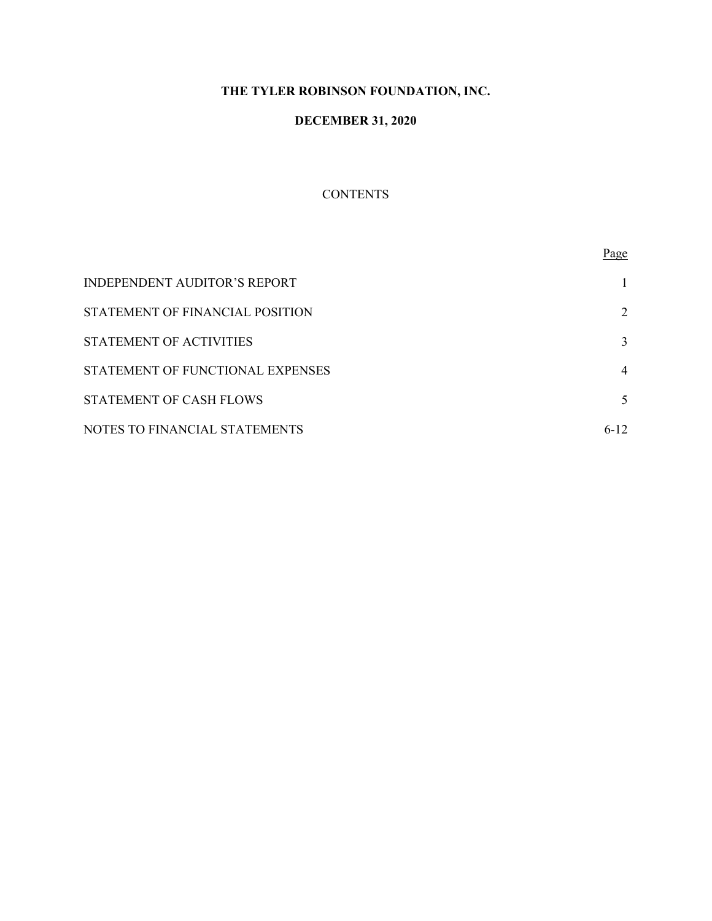# **THE TYLER ROBINSON FOUNDATION, INC.**

# **DECEMBER 31, 2020**

# **CONTENTS**

|                                     | Page     |
|-------------------------------------|----------|
| <b>INDEPENDENT AUDITOR'S REPORT</b> |          |
| STATEMENT OF FINANCIAL POSITION     | 2        |
| STATEMENT OF ACTIVITIES             | 3        |
| STATEMENT OF FUNCTIONAL EXPENSES    | 4        |
| <b>STATEMENT OF CASH FLOWS</b>      | 5        |
| NOTES TO FINANCIAL STATEMENTS       | $6 - 12$ |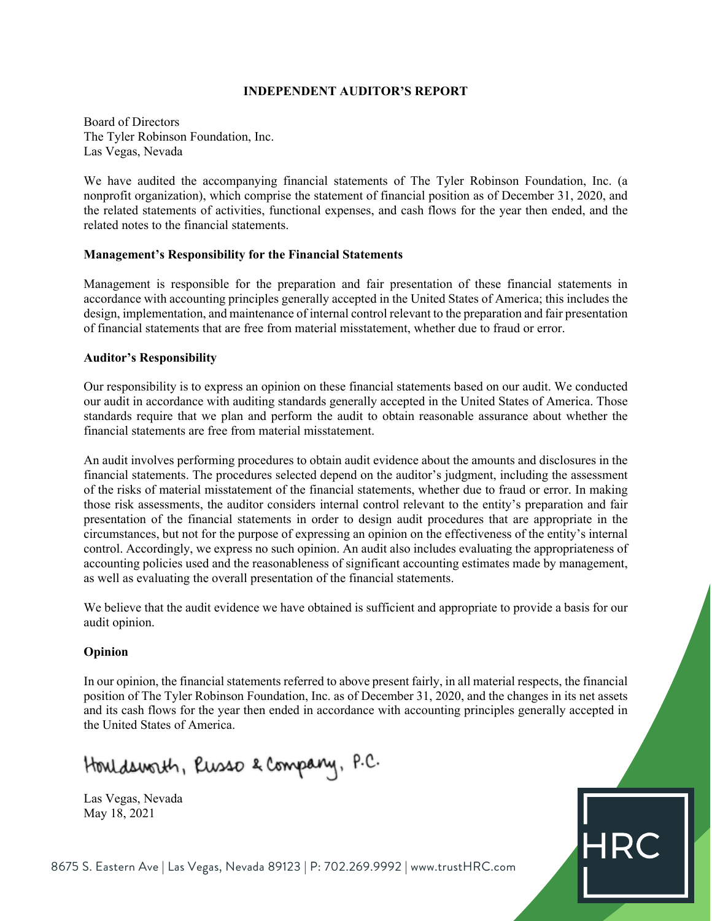# **INDEPENDENT AUDITOR'S REPORT**

Board of Directors The Tyler Robinson Foundation, Inc. Las Vegas, Nevada

We have audited the accompanying financial statements of The Tyler Robinson Foundation, Inc. (a nonprofit organization), which comprise the statement of financial position as of December 31, 2020, and the related statements of activities, functional expenses, and cash flows for the year then ended, and the related notes to the financial statements.

# **Management's Responsibility for the Financial Statements**

Management is responsible for the preparation and fair presentation of these financial statements in accordance with accounting principles generally accepted in the United States of America; this includes the design, implementation, and maintenance of internal control relevant to the preparation and fair presentation of financial statements that are free from material misstatement, whether due to fraud or error.

# **Auditor's Responsibility**

Our responsibility is to express an opinion on these financial statements based on our audit. We conducted our audit in accordance with auditing standards generally accepted in the United States of America. Those standards require that we plan and perform the audit to obtain reasonable assurance about whether the financial statements are free from material misstatement.

An audit involves performing procedures to obtain audit evidence about the amounts and disclosures in the financial statements. The procedures selected depend on the auditor's judgment, including the assessment of the risks of material misstatement of the financial statements, whether due to fraud or error. In making those risk assessments, the auditor considers internal control relevant to the entity's preparation and fair presentation of the financial statements in order to design audit procedures that are appropriate in the circumstances, but not for the purpose of expressing an opinion on the effectiveness of the entity's internal control. Accordingly, we express no such opinion. An audit also includes evaluating the appropriateness of accounting policies used and the reasonableness of significant accounting estimates made by management, as well as evaluating the overall presentation of the financial statements.

We believe that the audit evidence we have obtained is sufficient and appropriate to provide a basis for our audit opinion.

# **Opinion**

In our opinion, the financial statements referred to above present fairly, in all material respects, the financial position of The Tyler Robinson Foundation, Inc. as of December 31, 2020, and the changes in its net assets and its cash flows for the year then ended in accordance with accounting principles generally accepted in the United States of America.

Houldsworth, Russo & Company, P.C.

Las Vegas, Nevada May 18, 2021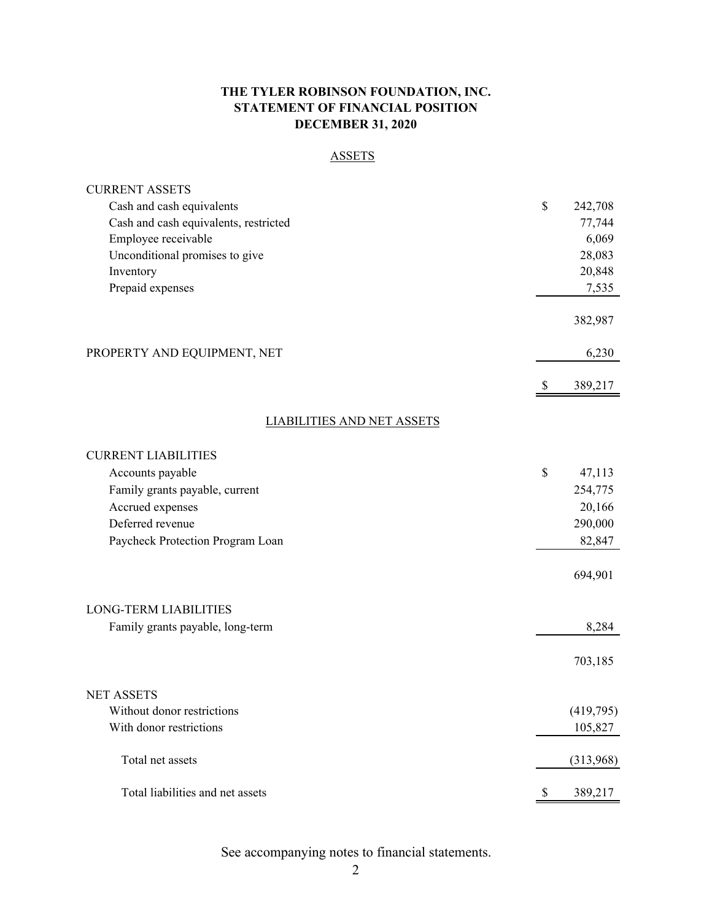# **THE TYLER ROBINSON FOUNDATION, INC. STATEMENT OF FINANCIAL POSITION DECEMBER 31, 2020**

# ASSETS

| <b>CURRENT ASSETS</b>                 |               |
|---------------------------------------|---------------|
| Cash and cash equivalents             | \$<br>242,708 |
| Cash and cash equivalents, restricted | 77,744        |
| Employee receivable                   | 6,069         |
| Unconditional promises to give        | 28,083        |
| Inventory                             | 20,848        |
| Prepaid expenses                      | 7,535         |
|                                       | 382,987       |
| PROPERTY AND EQUIPMENT, NET           | 6,230         |
|                                       | 389,217<br>\$ |
| <b>LIABILITIES AND NET ASSETS</b>     |               |
| <b>CURRENT LIABILITIES</b>            |               |
| Accounts payable                      | \$<br>47,113  |
| Family grants payable, current        | 254,775       |
| Accrued expenses                      | 20,166        |
| Deferred revenue                      | 290,000       |
| Paycheck Protection Program Loan      | 82,847        |
|                                       | 694,901       |
| <b>LONG-TERM LIABILITIES</b>          |               |
| Family grants payable, long-term      | 8,284         |
|                                       | 703,185       |
| <b>NET ASSETS</b>                     |               |
| Without donor restrictions            | (419,795)     |
| With donor restrictions               | 105,827       |
| Total net assets                      | (313,968)     |
| Total liabilities and net assets      | \$<br>389,217 |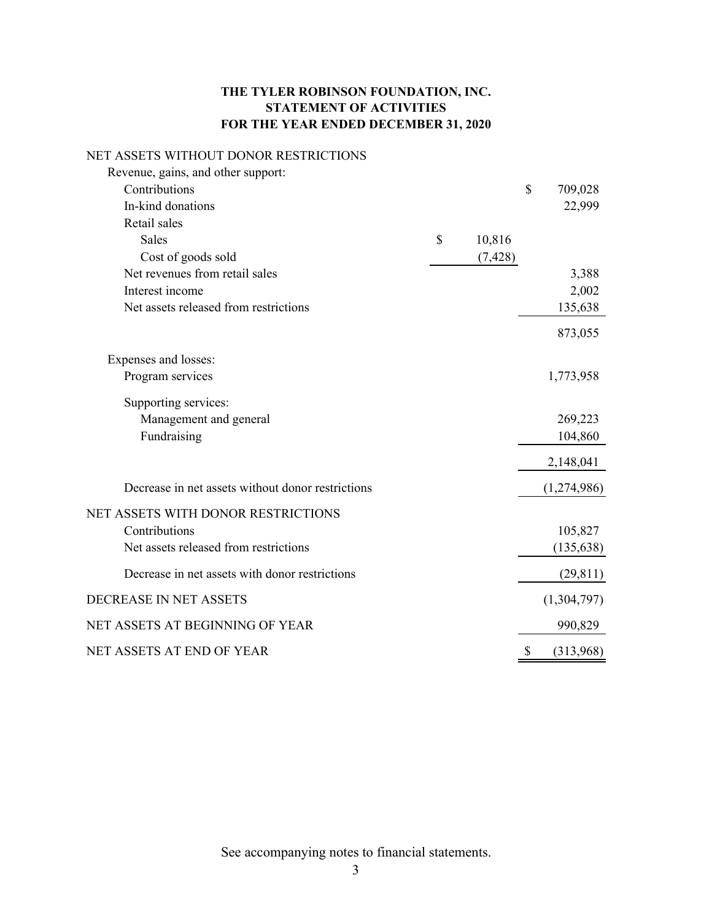# **THE TYLER ROBINSON FOUNDATION, INC. STATEMENT OF ACTIVITIES FOR THE YEAR ENDED DECEMBER 31, 2020**

# NET ASSETS WITHOUT DONOR RESTRICTIONS

| Revenue, gains, and other support:                |              |          |                 |
|---------------------------------------------------|--------------|----------|-----------------|
| Contributions                                     |              |          | \$<br>709,028   |
| In-kind donations                                 |              |          | 22,999          |
| Retail sales                                      |              |          |                 |
| <b>Sales</b>                                      | $\mathbb{S}$ | 10,816   |                 |
| Cost of goods sold                                |              | (7, 428) |                 |
| Net revenues from retail sales                    |              |          | 3,388           |
| Interest income                                   |              |          | 2,002           |
| Net assets released from restrictions             |              |          | 135,638         |
|                                                   |              |          | 873,055         |
| Expenses and losses:                              |              |          |                 |
| Program services                                  |              |          | 1,773,958       |
| Supporting services:                              |              |          |                 |
| Management and general                            |              |          | 269,223         |
| Fundraising                                       |              |          | 104,860         |
|                                                   |              |          | 2,148,041       |
| Decrease in net assets without donor restrictions |              |          | (1,274,986)     |
| NET ASSETS WITH DONOR RESTRICTIONS                |              |          |                 |
| Contributions                                     |              |          | 105,827         |
| Net assets released from restrictions             |              |          | (135, 638)      |
| Decrease in net assets with donor restrictions    |              |          | (29, 811)       |
| DECREASE IN NET ASSETS                            |              |          | (1,304,797)     |
| NET ASSETS AT BEGINNING OF YEAR                   |              |          | 990,829         |
| NET ASSETS AT END OF YEAR                         |              |          | \$<br>(313,968) |
|                                                   |              |          |                 |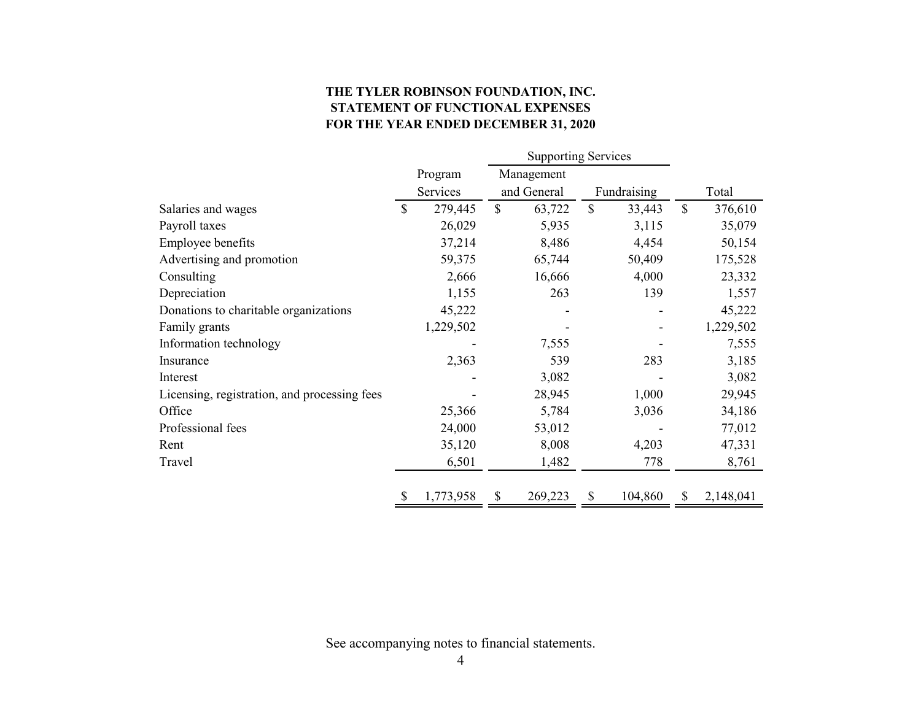# **THE TYLER ROBINSON FOUNDATION, INC. STATEMENT OF FUNCTIONAL EXPENSES FOR THE YEAR ENDED DECEMBER 31, 2020**

|                                              |                 |              | <b>Supporting Services</b> |               |             |              |           |
|----------------------------------------------|-----------------|--------------|----------------------------|---------------|-------------|--------------|-----------|
|                                              | Program         |              | Management                 |               |             |              |           |
|                                              | Services        |              | and General                |               | Fundraising |              | Total     |
| Salaries and wages                           | \$<br>279,445   | $\mathbb{S}$ | 63,722                     | $\mathcal{S}$ | 33,443      | $\mathbb{S}$ | 376,610   |
| Payroll taxes                                | 26,029          |              | 5,935                      |               | 3,115       |              | 35,079    |
| Employee benefits                            | 37,214          |              | 8,486                      |               | 4,454       |              | 50,154    |
| Advertising and promotion                    | 59,375          |              | 65,744                     |               | 50,409      |              | 175,528   |
| Consulting                                   | 2,666           |              | 16,666                     |               | 4,000       |              | 23,332    |
| Depreciation                                 | 1,155           |              | 263                        |               | 139         |              | 1,557     |
| Donations to charitable organizations        | 45,222          |              |                            |               |             |              | 45,222    |
| Family grants                                | 1,229,502       |              |                            |               |             |              | 1,229,502 |
| Information technology                       |                 |              | 7,555                      |               |             |              | 7,555     |
| Insurance                                    | 2,363           |              | 539                        |               | 283         |              | 3,185     |
| Interest                                     |                 |              | 3,082                      |               |             |              | 3,082     |
| Licensing, registration, and processing fees |                 |              | 28,945                     |               | 1,000       |              | 29,945    |
| Office                                       | 25,366          |              | 5,784                      |               | 3,036       |              | 34,186    |
| Professional fees                            | 24,000          |              | 53,012                     |               |             |              | 77,012    |
| Rent                                         | 35,120          |              | 8,008                      |               | 4,203       |              | 47,331    |
| Travel                                       | 6,501           |              | 1,482                      |               | 778         |              | 8,761     |
|                                              | \$<br>1,773,958 | \$           | 269,223                    | \$            | 104,860     | \$           | 2,148,041 |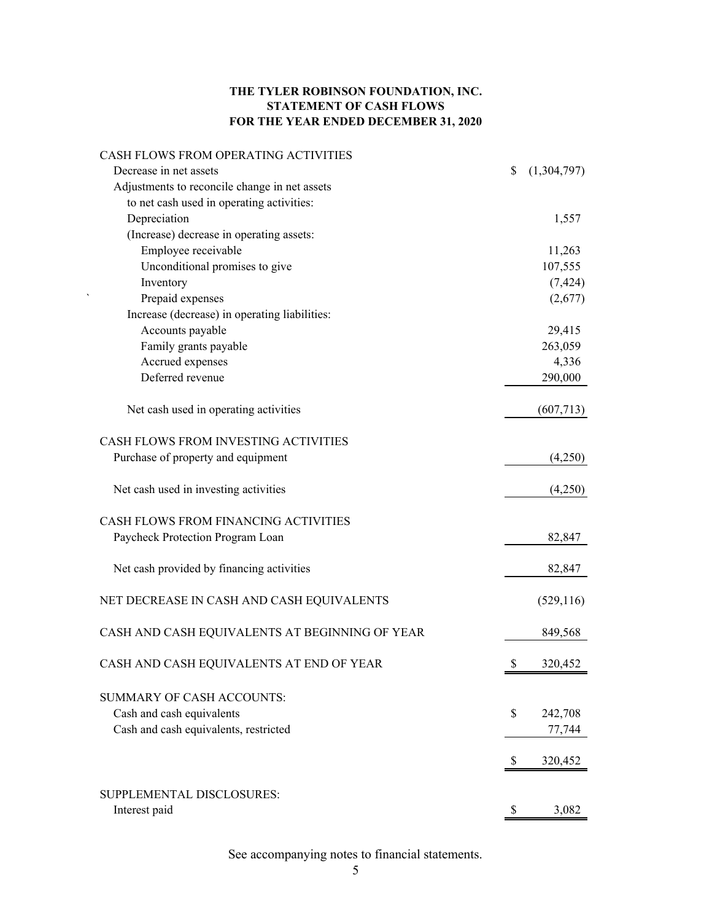# **THE TYLER ROBINSON FOUNDATION, INC. STATEMENT OF CASH FLOWS FOR THE YEAR ENDED DECEMBER 31, 2020**

| CASH FLOWS FROM OPERATING ACTIVITIES           |              |             |
|------------------------------------------------|--------------|-------------|
| Decrease in net assets                         | \$           | (1,304,797) |
| Adjustments to reconcile change in net assets  |              |             |
| to net cash used in operating activities:      |              |             |
| Depreciation                                   |              | 1,557       |
| (Increase) decrease in operating assets:       |              |             |
| Employee receivable                            |              | 11,263      |
| Unconditional promises to give                 |              | 107,555     |
| Inventory                                      |              | (7, 424)    |
| Prepaid expenses                               |              | (2,677)     |
| Increase (decrease) in operating liabilities:  |              |             |
| Accounts payable                               |              | 29,415      |
| Family grants payable                          |              | 263,059     |
| Accrued expenses                               |              | 4,336       |
| Deferred revenue                               |              | 290,000     |
| Net cash used in operating activities          |              | (607, 713)  |
| CASH FLOWS FROM INVESTING ACTIVITIES           |              |             |
| Purchase of property and equipment             |              | (4,250)     |
| Net cash used in investing activities          |              | (4,250)     |
| CASH FLOWS FROM FINANCING ACTIVITIES           |              |             |
| Paycheck Protection Program Loan               |              | 82,847      |
| Net cash provided by financing activities      |              | 82,847      |
| NET DECREASE IN CASH AND CASH EQUIVALENTS      |              | (529, 116)  |
| CASH AND CASH EQUIVALENTS AT BEGINNING OF YEAR |              | 849,568     |
| CASH AND CASH EQUIVALENTS AT END OF YEAR       | \$           | 320,452     |
| <b>SUMMARY OF CASH ACCOUNTS:</b>               |              |             |
| Cash and cash equivalents                      | $\mathbb{S}$ | 242,708     |
| Cash and cash equivalents, restricted          |              | 77,744      |
|                                                |              |             |
|                                                | \$           | 320,452     |
| SUPPLEMENTAL DISCLOSURES:                      |              |             |
| Interest paid                                  | \$           | 3,082       |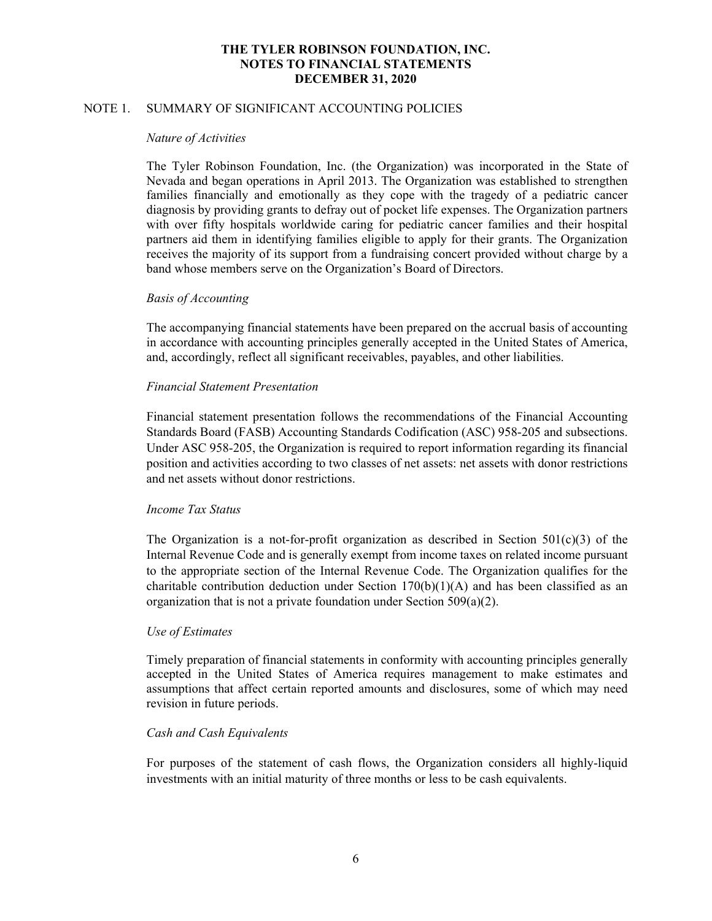# NOTE 1. SUMMARY OF SIGNIFICANT ACCOUNTING POLICIES

### *Nature of Activities*

The Tyler Robinson Foundation, Inc. (the Organization) was incorporated in the State of Nevada and began operations in April 2013. The Organization was established to strengthen families financially and emotionally as they cope with the tragedy of a pediatric cancer diagnosis by providing grants to defray out of pocket life expenses. The Organization partners with over fifty hospitals worldwide caring for pediatric cancer families and their hospital partners aid them in identifying families eligible to apply for their grants. The Organization receives the majority of its support from a fundraising concert provided without charge by a band whose members serve on the Organization's Board of Directors.

### *Basis of Accounting*

 The accompanying financial statements have been prepared on the accrual basis of accounting in accordance with accounting principles generally accepted in the United States of America, and, accordingly, reflect all significant receivables, payables, and other liabilities.

# *Financial Statement Presentation*

Financial statement presentation follows the recommendations of the Financial Accounting Standards Board (FASB) Accounting Standards Codification (ASC) 958-205 and subsections. Under ASC 958-205, the Organization is required to report information regarding its financial position and activities according to two classes of net assets: net assets with donor restrictions and net assets without donor restrictions.

### *Income Tax Status*

The Organization is a not-for-profit organization as described in Section  $501(c)(3)$  of the Internal Revenue Code and is generally exempt from income taxes on related income pursuant to the appropriate section of the Internal Revenue Code. The Organization qualifies for the charitable contribution deduction under Section  $170(b)(1)(A)$  and has been classified as an organization that is not a private foundation under Section  $509(a)(2)$ .

### *Use of Estimates*

Timely preparation of financial statements in conformity with accounting principles generally accepted in the United States of America requires management to make estimates and assumptions that affect certain reported amounts and disclosures, some of which may need revision in future periods.

### *Cash and Cash Equivalents*

For purposes of the statement of cash flows, the Organization considers all highly-liquid investments with an initial maturity of three months or less to be cash equivalents.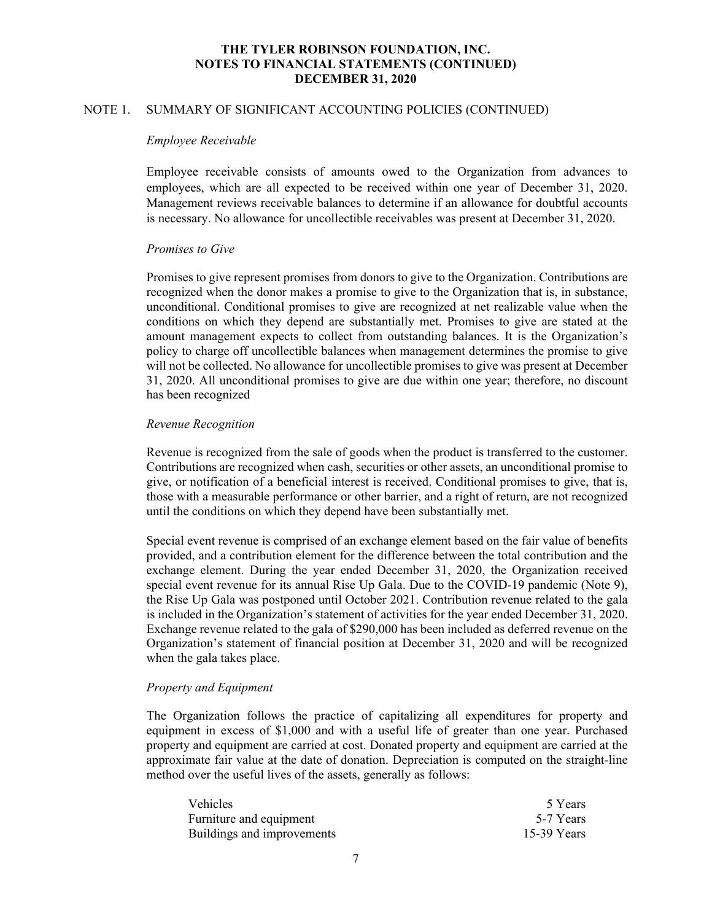#### NOTE 1. SUMMARY OF SIGNIFICANT ACCOUNTING POLICIES (CONTINUED)

#### *Employee Receivable*

Employee receivable consists of amounts owed to the Organization from advances to employees, which are all expected to be received within one year of December 31, 2020. Management reviews receivable balances to determine if an allowance for doubtful accounts is necessary. No allowance for uncollectible receivables was present at December 31, 2020.

#### *Promises to Give*

 Promises to give represent promises from donors to give to the Organization. Contributions are recognized when the donor makes a promise to give to the Organization that is, in substance, unconditional. Conditional promises to give are recognized at net realizable value when the conditions on which they depend are substantially met. Promises to give are stated at the amount management expects to collect from outstanding balances. It is the Organization's policy to charge off uncollectible balances when management determines the promise to give will not be collected. No allowance for uncollectible promises to give was present at December 31, 2020. All unconditional promises to give are due within one year; therefore, no discount has been recognized

#### *Revenue Recognition*

Revenue is recognized from the sale of goods when the product is transferred to the customer. Contributions are recognized when cash, securities or other assets, an unconditional promise to give, or notification of a beneficial interest is received. Conditional promises to give, that is, those with a measurable performance or other barrier, and a right of return, are not recognized until the conditions on which they depend have been substantially met.

Special event revenue is comprised of an exchange element based on the fair value of benefits provided, and a contribution element for the difference between the total contribution and the exchange element. During the year ended December 31, 2020, the Organization received special event revenue for its annual Rise Up Gala. Due to the COVID-19 pandemic (Note 9), the Rise Up Gala was postponed until October 2021. Contribution revenue related to the gala is included in the Organization's statement of activities for the year ended December 31, 2020. Exchange revenue related to the gala of \$290,000 has been included as deferred revenue on the Organization's statement of financial position at December 31, 2020 and will be recognized when the gala takes place.

### *Property and Equipment*

The Organization follows the practice of capitalizing all expenditures for property and equipment in excess of \$1,000 and with a useful life of greater than one year. Purchased property and equipment are carried at cost. Donated property and equipment are carried at the approximate fair value at the date of donation. Depreciation is computed on the straight-line method over the useful lives of the assets, generally as follows:

| <b>Vehicles</b>            | 5 Years     |
|----------------------------|-------------|
| Furniture and equipment    | 5-7 Years   |
| Buildings and improvements | 15-39 Years |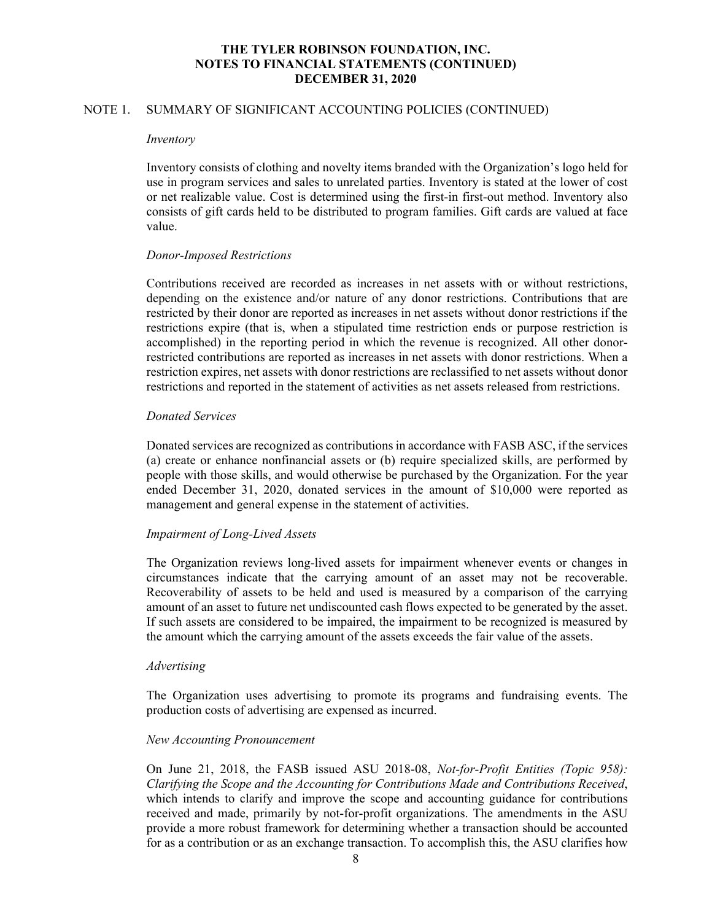#### NOTE 1. SUMMARY OF SIGNIFICANT ACCOUNTING POLICIES (CONTINUED)

#### *Inventory*

Inventory consists of clothing and novelty items branded with the Organization's logo held for use in program services and sales to unrelated parties. Inventory is stated at the lower of cost or net realizable value. Cost is determined using the first-in first-out method. Inventory also consists of gift cards held to be distributed to program families. Gift cards are valued at face value.

#### *Donor-Imposed Restrictions*

Contributions received are recorded as increases in net assets with or without restrictions, depending on the existence and/or nature of any donor restrictions. Contributions that are restricted by their donor are reported as increases in net assets without donor restrictions if the restrictions expire (that is, when a stipulated time restriction ends or purpose restriction is accomplished) in the reporting period in which the revenue is recognized. All other donorrestricted contributions are reported as increases in net assets with donor restrictions. When a restriction expires, net assets with donor restrictions are reclassified to net assets without donor restrictions and reported in the statement of activities as net assets released from restrictions.

# *Donated Services*

Donated services are recognized as contributions in accordance with FASB ASC, if the services (a) create or enhance nonfinancial assets or (b) require specialized skills, are performed by people with those skills, and would otherwise be purchased by the Organization. For the year ended December 31, 2020, donated services in the amount of \$10,000 were reported as management and general expense in the statement of activities.

### *Impairment of Long-Lived Assets*

The Organization reviews long-lived assets for impairment whenever events or changes in circumstances indicate that the carrying amount of an asset may not be recoverable. Recoverability of assets to be held and used is measured by a comparison of the carrying amount of an asset to future net undiscounted cash flows expected to be generated by the asset. If such assets are considered to be impaired, the impairment to be recognized is measured by the amount which the carrying amount of the assets exceeds the fair value of the assets.

# *Advertising*

The Organization uses advertising to promote its programs and fundraising events. The production costs of advertising are expensed as incurred.

### *New Accounting Pronouncement*

On June 21, 2018, the FASB issued ASU 2018-08, *Not-for-Profit Entities (Topic 958): Clarifying the Scope and the Accounting for Contributions Made and Contributions Received*, which intends to clarify and improve the scope and accounting guidance for contributions received and made, primarily by not-for-profit organizations. The amendments in the ASU provide a more robust framework for determining whether a transaction should be accounted for as a contribution or as an exchange transaction. To accomplish this, the ASU clarifies how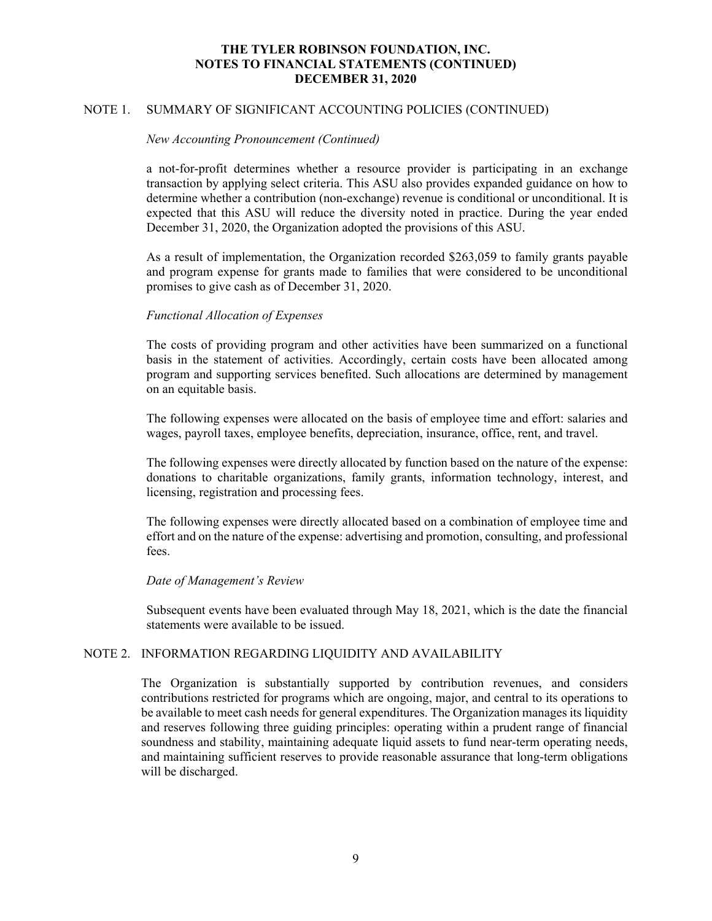# NOTE 1. SUMMARY OF SIGNIFICANT ACCOUNTING POLICIES (CONTINUED)

#### *New Accounting Pronouncement (Continued)*

a not-for-profit determines whether a resource provider is participating in an exchange transaction by applying select criteria. This ASU also provides expanded guidance on how to determine whether a contribution (non-exchange) revenue is conditional or unconditional. It is expected that this ASU will reduce the diversity noted in practice. During the year ended December 31, 2020, the Organization adopted the provisions of this ASU.

As a result of implementation, the Organization recorded \$263,059 to family grants payable and program expense for grants made to families that were considered to be unconditional promises to give cash as of December 31, 2020.

### *Functional Allocation of Expenses*

The costs of providing program and other activities have been summarized on a functional basis in the statement of activities. Accordingly, certain costs have been allocated among program and supporting services benefited. Such allocations are determined by management on an equitable basis.

The following expenses were allocated on the basis of employee time and effort: salaries and wages, payroll taxes, employee benefits, depreciation, insurance, office, rent, and travel.

The following expenses were directly allocated by function based on the nature of the expense: donations to charitable organizations, family grants, information technology, interest, and licensing, registration and processing fees.

The following expenses were directly allocated based on a combination of employee time and effort and on the nature of the expense: advertising and promotion, consulting, and professional fees.

#### *Date of Management's Review*

Subsequent events have been evaluated through May 18, 2021, which is the date the financial statements were available to be issued.

# NOTE 2. INFORMATION REGARDING LIQUIDITY AND AVAILABILITY

The Organization is substantially supported by contribution revenues, and considers contributions restricted for programs which are ongoing, major, and central to its operations to be available to meet cash needs for general expenditures. The Organization manages its liquidity and reserves following three guiding principles: operating within a prudent range of financial soundness and stability, maintaining adequate liquid assets to fund near-term operating needs, and maintaining sufficient reserves to provide reasonable assurance that long-term obligations will be discharged.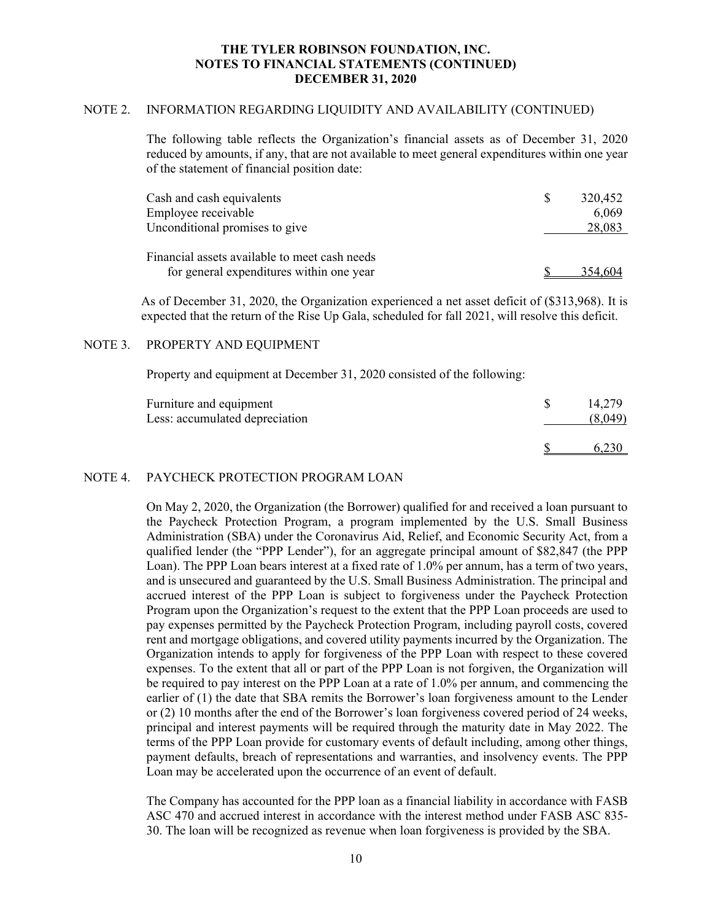# NOTE 2. INFORMATION REGARDING LIQUIDITY AND AVAILABILITY (CONTINUED)

The following table reflects the Organization's financial assets as of December 31, 2020 reduced by amounts, if any, that are not available to meet general expenditures within one year of the statement of financial position date:

| Cash and cash equivalents                     | 320,452 |
|-----------------------------------------------|---------|
| Employee receivable                           | 6,069   |
| Unconditional promises to give                | 28,083  |
|                                               |         |
| Financial assets available to meet cash needs |         |
| for general expenditures within one year      | 354,604 |

As of December 31, 2020, the Organization experienced a net asset deficit of (\$313,968). It is expected that the return of the Rise Up Gala, scheduled for fall 2021, will resolve this deficit.

# NOTE 3. PROPERTY AND EQUIPMENT

Property and equipment at December 31, 2020 consisted of the following:

| Furniture and equipment<br>Less: accumulated depreciation | 14,279<br>(8,049) |
|-----------------------------------------------------------|-------------------|
|                                                           |                   |

#### NOTE 4. PAYCHECK PROTECTION PROGRAM LOAN

On May 2, 2020, the Organization (the Borrower) qualified for and received a loan pursuant to the Paycheck Protection Program, a program implemented by the U.S. Small Business Administration (SBA) under the Coronavirus Aid, Relief, and Economic Security Act, from a qualified lender (the "PPP Lender"), for an aggregate principal amount of \$82,847 (the PPP Loan). The PPP Loan bears interest at a fixed rate of 1.0% per annum, has a term of two years, and is unsecured and guaranteed by the U.S. Small Business Administration. The principal and accrued interest of the PPP Loan is subject to forgiveness under the Paycheck Protection Program upon the Organization's request to the extent that the PPP Loan proceeds are used to pay expenses permitted by the Paycheck Protection Program, including payroll costs, covered rent and mortgage obligations, and covered utility payments incurred by the Organization. The Organization intends to apply for forgiveness of the PPP Loan with respect to these covered expenses. To the extent that all or part of the PPP Loan is not forgiven, the Organization will be required to pay interest on the PPP Loan at a rate of 1.0% per annum, and commencing the earlier of (1) the date that SBA remits the Borrower's loan forgiveness amount to the Lender or (2) 10 months after the end of the Borrower's loan forgiveness covered period of 24 weeks, principal and interest payments will be required through the maturity date in May 2022. The terms of the PPP Loan provide for customary events of default including, among other things, payment defaults, breach of representations and warranties, and insolvency events. The PPP Loan may be accelerated upon the occurrence of an event of default.

The Company has accounted for the PPP loan as a financial liability in accordance with FASB ASC 470 and accrued interest in accordance with the interest method under FASB ASC 835- 30. The loan will be recognized as revenue when loan forgiveness is provided by the SBA.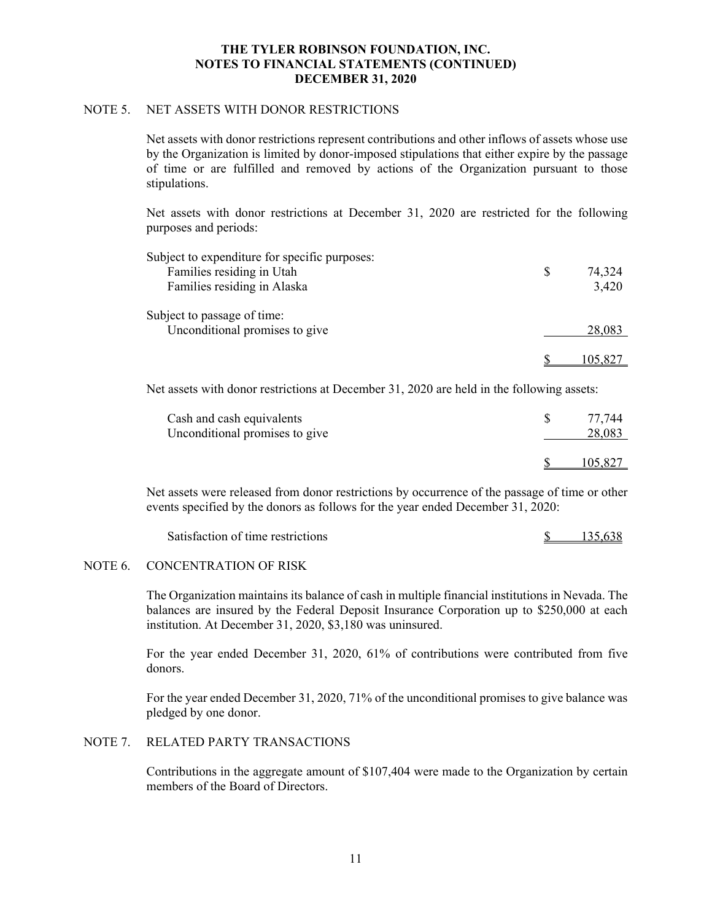# NOTE 5. NET ASSETS WITH DONOR RESTRICTIONS

Net assets with donor restrictions represent contributions and other inflows of assets whose use by the Organization is limited by donor-imposed stipulations that either expire by the passage of time or are fulfilled and removed by actions of the Organization pursuant to those stipulations.

Net assets with donor restrictions at December 31, 2020 are restricted for the following purposes and periods:

| Subject to expenditure for specific purposes: |   |        |
|-----------------------------------------------|---|--------|
| Families residing in Utah                     | S | 74.324 |
| Families residing in Alaska                   |   | 3,420  |
| Subject to passage of time:                   |   |        |
| Unconditional promises to give                |   | 28,083 |
|                                               |   |        |

Net assets with donor restrictions at December 31, 2020 are held in the following assets:

| Cash and cash equivalents<br>Unconditional promises to give | 77.744<br>28,083 |
|-------------------------------------------------------------|------------------|
|                                                             | 05.827           |

Net assets were released from donor restrictions by occurrence of the passage of time or other events specified by the donors as follows for the year ended December 31, 2020:

| Satisfaction of time restrictions |  | 135.638 |
|-----------------------------------|--|---------|
|-----------------------------------|--|---------|

### NOTE 6. CONCENTRATION OF RISK

The Organization maintains its balance of cash in multiple financial institutions in Nevada. The balances are insured by the Federal Deposit Insurance Corporation up to \$250,000 at each institution. At December 31, 2020, \$3,180 was uninsured.

For the year ended December 31, 2020, 61% of contributions were contributed from five donors.

For the year ended December 31, 2020, 71% of the unconditional promises to give balance was pledged by one donor.

# NOTE 7. RELATED PARTY TRANSACTIONS

Contributions in the aggregate amount of \$107,404 were made to the Organization by certain members of the Board of Directors.